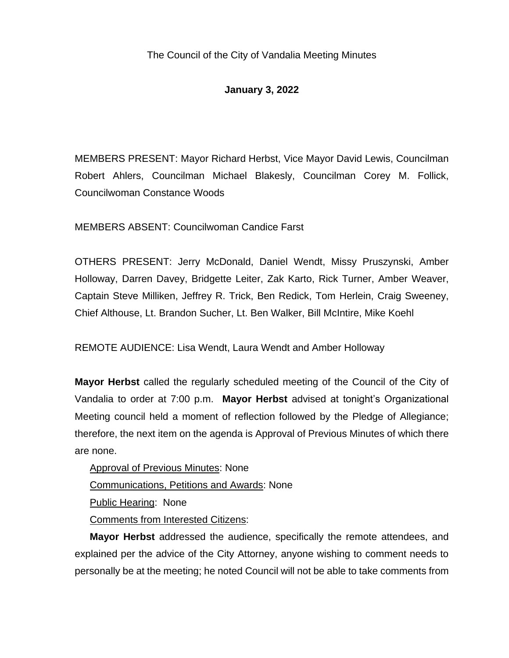## **January 3, 2022**

MEMBERS PRESENT: Mayor Richard Herbst, Vice Mayor David Lewis, Councilman Robert Ahlers, Councilman Michael Blakesly, Councilman Corey M. Follick, Councilwoman Constance Woods

MEMBERS ABSENT: Councilwoman Candice Farst

OTHERS PRESENT: Jerry McDonald, Daniel Wendt, Missy Pruszynski, Amber Holloway, Darren Davey, Bridgette Leiter, Zak Karto, Rick Turner, Amber Weaver, Captain Steve Milliken, Jeffrey R. Trick, Ben Redick, Tom Herlein, Craig Sweeney, Chief Althouse, Lt. Brandon Sucher, Lt. Ben Walker, Bill McIntire, Mike Koehl

REMOTE AUDIENCE: Lisa Wendt, Laura Wendt and Amber Holloway

**Mayor Herbst** called the regularly scheduled meeting of the Council of the City of Vandalia to order at 7:00 p.m. **Mayor Herbst** advised at tonight's Organizational Meeting council held a moment of reflection followed by the Pledge of Allegiance; therefore, the next item on the agenda is Approval of Previous Minutes of which there are none.

Approval of Previous Minutes: None Communications, Petitions and Awards: None Public Hearing: None Comments from Interested Citizens:

**Mayor Herbst** addressed the audience, specifically the remote attendees, and explained per the advice of the City Attorney, anyone wishing to comment needs to personally be at the meeting; he noted Council will not be able to take comments from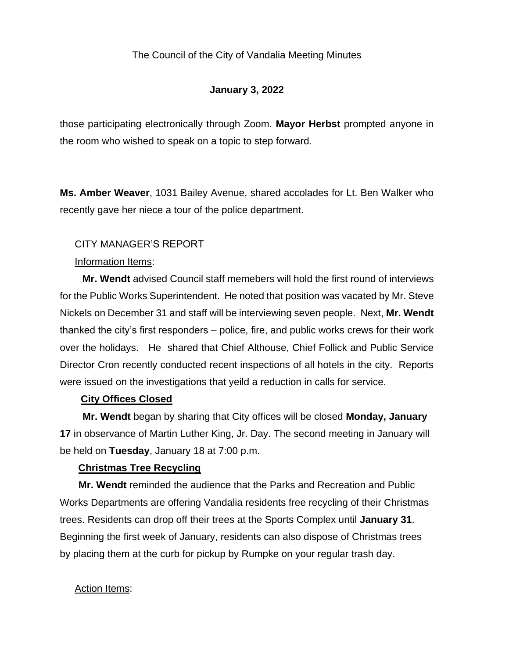# **January 3, 2022**

those participating electronically through Zoom. **Mayor Herbst** prompted anyone in the room who wished to speak on a topic to step forward.

**Ms. Amber Weaver**, 1031 Bailey Avenue, shared accolades for Lt. Ben Walker who recently gave her niece a tour of the police department.

## CITY MANAGER'S REPORT

## Information Items:

**Mr. Wendt** advised Council staff memebers will hold the first round of interviews for the Public Works Superintendent. He noted that position was vacated by Mr. Steve Nickels on December 31 and staff will be interviewing seven people. Next, **Mr. Wendt** thanked the city's first responders – police, fire, and public works crews for their work over the holidays. He shared that Chief Althouse, Chief Follick and Public Service Director Cron recently conducted recent inspections of all hotels in the city. Reports were issued on the investigations that yeild a reduction in calls for service.

## **City Offices Closed**

**Mr. Wendt** began by sharing that City offices will be closed **Monday, January 17** in observance of Martin Luther King, Jr. Day. The second meeting in January will be held on **Tuesday**, January 18 at 7:00 p.m.

## **Christmas Tree Recycling**

**Mr. Wendt** reminded the audience that the Parks and Recreation and Public Works Departments are offering Vandalia residents free recycling of their Christmas trees. Residents can drop off their trees at the Sports Complex until **January 31**. Beginning the first week of January, residents can also dispose of Christmas trees by placing them at the curb for pickup by Rumpke on your regular trash day.

## Action Items: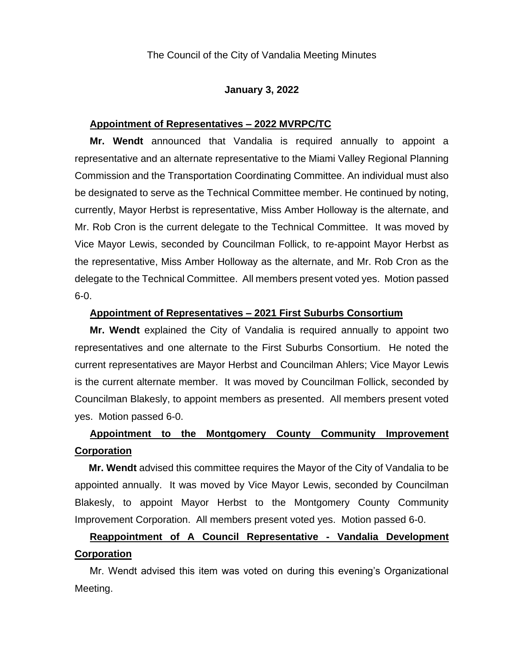#### **January 3, 2022**

## **Appointment of Representatives – 2022 MVRPC/TC**

**Mr. Wendt** announced that Vandalia is required annually to appoint a representative and an alternate representative to the Miami Valley Regional Planning Commission and the Transportation Coordinating Committee. An individual must also be designated to serve as the Technical Committee member. He continued by noting, currently, Mayor Herbst is representative, Miss Amber Holloway is the alternate, and Mr. Rob Cron is the current delegate to the Technical Committee. It was moved by Vice Mayor Lewis, seconded by Councilman Follick, to re-appoint Mayor Herbst as the representative, Miss Amber Holloway as the alternate, and Mr. Rob Cron as the delegate to the Technical Committee. All members present voted yes. Motion passed 6-0.

#### **Appointment of Representatives – 2021 First Suburbs Consortium**

**Mr. Wendt** explained the City of Vandalia is required annually to appoint two representatives and one alternate to the First Suburbs Consortium. He noted the current representatives are Mayor Herbst and Councilman Ahlers; Vice Mayor Lewis is the current alternate member. It was moved by Councilman Follick, seconded by Councilman Blakesly, to appoint members as presented. All members present voted yes. Motion passed 6-0.

# **Appointment to the Montgomery County Community Improvement Corporation**

**Mr. Wendt** advised this committee requires the Mayor of the City of Vandalia to be appointed annually. It was moved by Vice Mayor Lewis, seconded by Councilman Blakesly, to appoint Mayor Herbst to the Montgomery County Community Improvement Corporation. All members present voted yes. Motion passed 6-0.

# **Reappointment of A Council Representative - Vandalia Development Corporation**

Mr. Wendt advised this item was voted on during this evening's Organizational Meeting.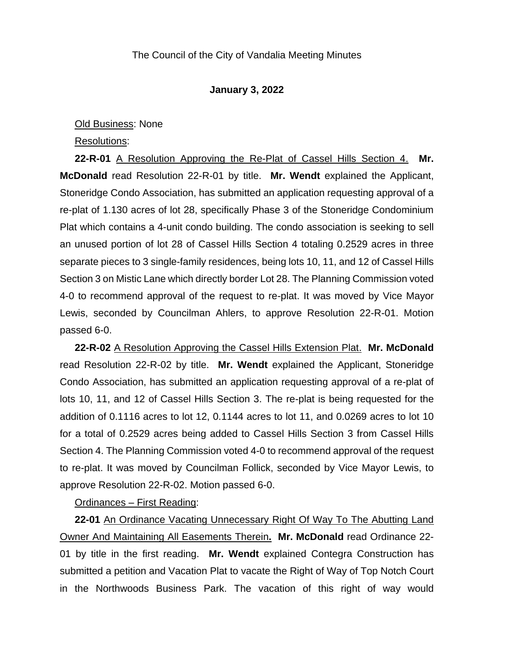#### **January 3, 2022**

#### Old Business: None

#### Resolutions:

**22-R-01** A Resolution Approving the Re-Plat of Cassel Hills Section 4. **Mr. McDonald** read Resolution 22-R-01 by title. **Mr. Wendt** explained the Applicant, Stoneridge Condo Association, has submitted an application requesting approval of a re-plat of 1.130 acres of lot 28, specifically Phase 3 of the Stoneridge Condominium Plat which contains a 4-unit condo building. The condo association is seeking to sell an unused portion of lot 28 of Cassel Hills Section 4 totaling 0.2529 acres in three separate pieces to 3 single-family residences, being lots 10, 11, and 12 of Cassel Hills Section 3 on Mistic Lane which directly border Lot 28. The Planning Commission voted 4-0 to recommend approval of the request to re-plat. It was moved by Vice Mayor Lewis, seconded by Councilman Ahlers, to approve Resolution 22-R-01. Motion passed 6-0.

**22-R-02** A Resolution Approving the Cassel Hills Extension Plat. **Mr. McDonald**  read Resolution 22-R-02 by title. **Mr. Wendt** explained the Applicant, Stoneridge Condo Association, has submitted an application requesting approval of a re-plat of lots 10, 11, and 12 of Cassel Hills Section 3. The re-plat is being requested for the addition of 0.1116 acres to lot 12, 0.1144 acres to lot 11, and 0.0269 acres to lot 10 for a total of 0.2529 acres being added to Cassel Hills Section 3 from Cassel Hills Section 4. The Planning Commission voted 4-0 to recommend approval of the request to re-plat. It was moved by Councilman Follick, seconded by Vice Mayor Lewis, to approve Resolution 22-R-02. Motion passed 6-0.

Ordinances – First Reading:

**22-01** An Ordinance Vacating Unnecessary Right Of Way To The Abutting Land Owner And Maintaining All Easements Therein**. Mr. McDonald** read Ordinance 22- 01 by title in the first reading. **Mr. Wendt** explained Contegra Construction has submitted a petition and Vacation Plat to vacate the Right of Way of Top Notch Court in the Northwoods Business Park. The vacation of this right of way would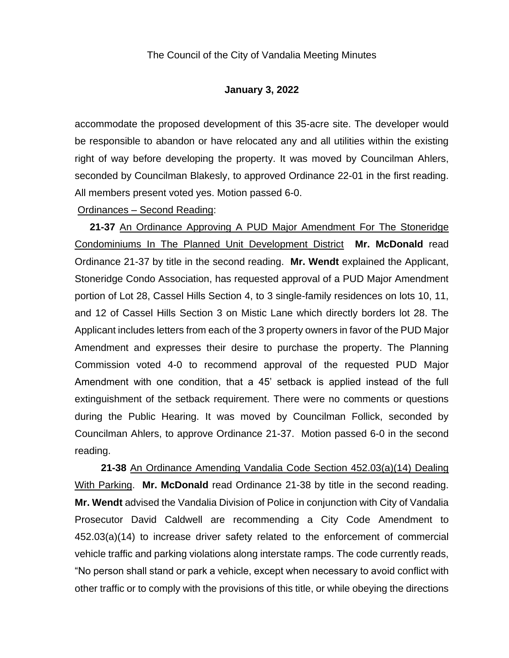#### **January 3, 2022**

accommodate the proposed development of this 35-acre site. The developer would be responsible to abandon or have relocated any and all utilities within the existing right of way before developing the property. It was moved by Councilman Ahlers, seconded by Councilman Blakesly, to approved Ordinance 22-01 in the first reading. All members present voted yes. Motion passed 6-0.

Ordinances – Second Reading:

**21-37** An Ordinance Approving A PUD Major Amendment For The Stoneridge Condominiums In The Planned Unit Development District **Mr. McDonald** read Ordinance 21-37 by title in the second reading. **Mr. Wendt** explained the Applicant, Stoneridge Condo Association, has requested approval of a PUD Major Amendment portion of Lot 28, Cassel Hills Section 4, to 3 single-family residences on lots 10, 11, and 12 of Cassel Hills Section 3 on Mistic Lane which directly borders lot 28. The Applicant includes letters from each of the 3 property owners in favor of the PUD Major Amendment and expresses their desire to purchase the property. The Planning Commission voted 4-0 to recommend approval of the requested PUD Major Amendment with one condition, that a 45' setback is applied instead of the full extinguishment of the setback requirement. There were no comments or questions during the Public Hearing. It was moved by Councilman Follick, seconded by Councilman Ahlers, to approve Ordinance 21-37. Motion passed 6-0 in the second reading.

**21-38** An Ordinance Amending Vandalia Code Section 452.03(a)(14) Dealing With Parking. **Mr. McDonald** read Ordinance 21-38 by title in the second reading. **Mr. Wendt** advised the Vandalia Division of Police in conjunction with City of Vandalia Prosecutor David Caldwell are recommending a City Code Amendment to 452.03(a)(14) to increase driver safety related to the enforcement of commercial vehicle traffic and parking violations along interstate ramps. The code currently reads, "No person shall stand or park a vehicle, except when necessary to avoid conflict with other traffic or to comply with the provisions of this title, or while obeying the directions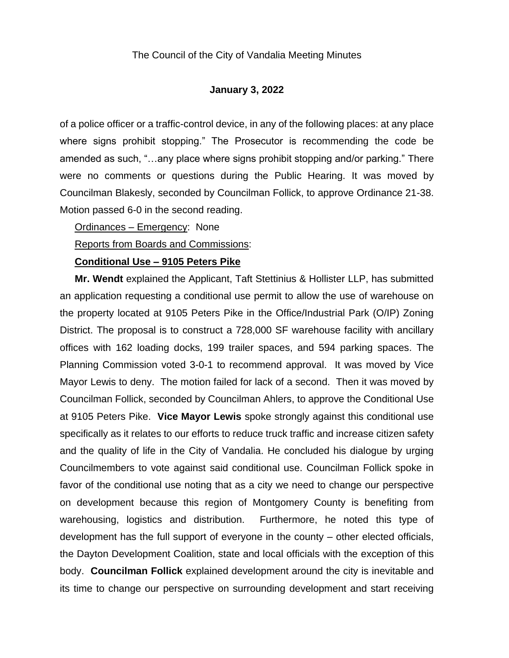#### **January 3, 2022**

of a police officer or a traffic-control device, in any of the following places: at any place where signs prohibit stopping." The Prosecutor is recommending the code be amended as such, "…any place where signs prohibit stopping and/or parking." There were no comments or questions during the Public Hearing. It was moved by Councilman Blakesly, seconded by Councilman Follick, to approve Ordinance 21-38. Motion passed 6-0 in the second reading.

Ordinances – Emergency: None

#### Reports from Boards and Commissions:

#### **Conditional Use – 9105 Peters Pike**

**Mr. Wendt** explained the Applicant, Taft Stettinius & Hollister LLP, has submitted an application requesting a conditional use permit to allow the use of warehouse on the property located at 9105 Peters Pike in the Office/Industrial Park (O/IP) Zoning District. The proposal is to construct a 728,000 SF warehouse facility with ancillary offices with 162 loading docks, 199 trailer spaces, and 594 parking spaces. The Planning Commission voted 3-0-1 to recommend approval. It was moved by Vice Mayor Lewis to deny. The motion failed for lack of a second. Then it was moved by Councilman Follick, seconded by Councilman Ahlers, to approve the Conditional Use at 9105 Peters Pike. **Vice Mayor Lewis** spoke strongly against this conditional use specifically as it relates to our efforts to reduce truck traffic and increase citizen safety and the quality of life in the City of Vandalia. He concluded his dialogue by urging Councilmembers to vote against said conditional use. Councilman Follick spoke in favor of the conditional use noting that as a city we need to change our perspective on development because this region of Montgomery County is benefiting from warehousing, logistics and distribution. Furthermore, he noted this type of development has the full support of everyone in the county – other elected officials, the Dayton Development Coalition, state and local officials with the exception of this body. **Councilman Follick** explained development around the city is inevitable and its time to change our perspective on surrounding development and start receiving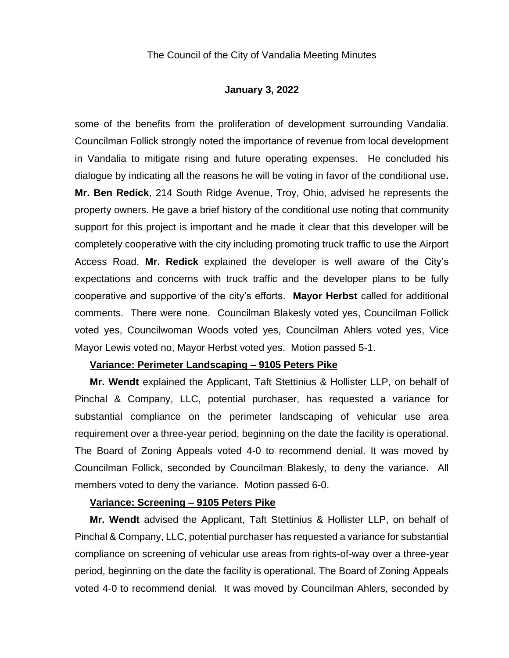#### **January 3, 2022**

some of the benefits from the proliferation of development surrounding Vandalia. Councilman Follick strongly noted the importance of revenue from local development in Vandalia to mitigate rising and future operating expenses. He concluded his dialogue by indicating all the reasons he will be voting in favor of the conditional use**. Mr. Ben Redick**, 214 South Ridge Avenue, Troy, Ohio, advised he represents the property owners. He gave a brief history of the conditional use noting that community support for this project is important and he made it clear that this developer will be completely cooperative with the city including promoting truck traffic to use the Airport Access Road. **Mr. Redick** explained the developer is well aware of the City's expectations and concerns with truck traffic and the developer plans to be fully cooperative and supportive of the city's efforts. **Mayor Herbst** called for additional comments. There were none. Councilman Blakesly voted yes, Councilman Follick voted yes, Councilwoman Woods voted yes, Councilman Ahlers voted yes, Vice Mayor Lewis voted no, Mayor Herbst voted yes. Motion passed 5-1.

#### **Variance: Perimeter Landscaping – 9105 Peters Pike**

**Mr. Wendt** explained the Applicant, Taft Stettinius & Hollister LLP, on behalf of Pinchal & Company, LLC, potential purchaser, has requested a variance for substantial compliance on the perimeter landscaping of vehicular use area requirement over a three-year period, beginning on the date the facility is operational. The Board of Zoning Appeals voted 4-0 to recommend denial. It was moved by Councilman Follick, seconded by Councilman Blakesly, to deny the variance. All members voted to deny the variance. Motion passed 6-0.

#### **Variance: Screening – 9105 Peters Pike**

**Mr. Wendt** advised the Applicant, Taft Stettinius & Hollister LLP, on behalf of Pinchal & Company, LLC, potential purchaser has requested a variance for substantial compliance on screening of vehicular use areas from rights-of-way over a three-year period, beginning on the date the facility is operational. The Board of Zoning Appeals voted 4-0 to recommend denial. It was moved by Councilman Ahlers, seconded by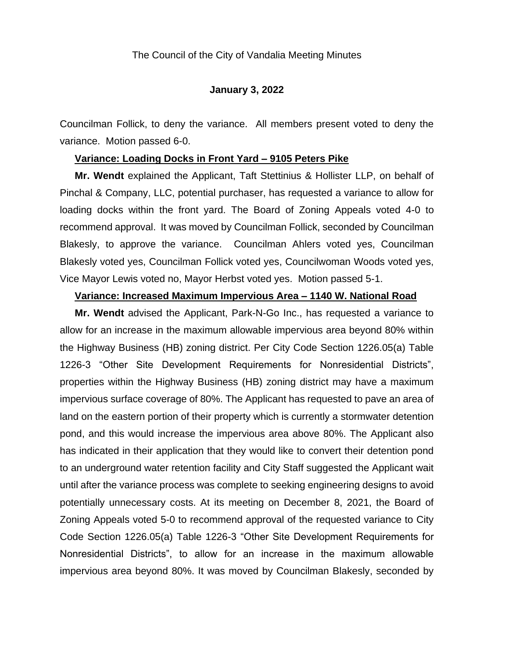#### **January 3, 2022**

Councilman Follick, to deny the variance. All members present voted to deny the variance. Motion passed 6-0.

#### **Variance: Loading Docks in Front Yard – 9105 Peters Pike**

**Mr. Wendt** explained the Applicant, Taft Stettinius & Hollister LLP, on behalf of Pinchal & Company, LLC, potential purchaser, has requested a variance to allow for loading docks within the front yard. The Board of Zoning Appeals voted 4-0 to recommend approval. It was moved by Councilman Follick, seconded by Councilman Blakesly, to approve the variance. Councilman Ahlers voted yes, Councilman Blakesly voted yes, Councilman Follick voted yes, Councilwoman Woods voted yes, Vice Mayor Lewis voted no, Mayor Herbst voted yes. Motion passed 5-1.

#### **Variance: Increased Maximum Impervious Area – 1140 W. National Road**

**Mr. Wendt** advised the Applicant, Park-N-Go Inc., has requested a variance to allow for an increase in the maximum allowable impervious area beyond 80% within the Highway Business (HB) zoning district. Per City Code Section 1226.05(a) Table 1226-3 "Other Site Development Requirements for Nonresidential Districts", properties within the Highway Business (HB) zoning district may have a maximum impervious surface coverage of 80%. The Applicant has requested to pave an area of land on the eastern portion of their property which is currently a stormwater detention pond, and this would increase the impervious area above 80%. The Applicant also has indicated in their application that they would like to convert their detention pond to an underground water retention facility and City Staff suggested the Applicant wait until after the variance process was complete to seeking engineering designs to avoid potentially unnecessary costs. At its meeting on December 8, 2021, the Board of Zoning Appeals voted 5-0 to recommend approval of the requested variance to City Code Section 1226.05(a) Table 1226-3 "Other Site Development Requirements for Nonresidential Districts", to allow for an increase in the maximum allowable impervious area beyond 80%. It was moved by Councilman Blakesly, seconded by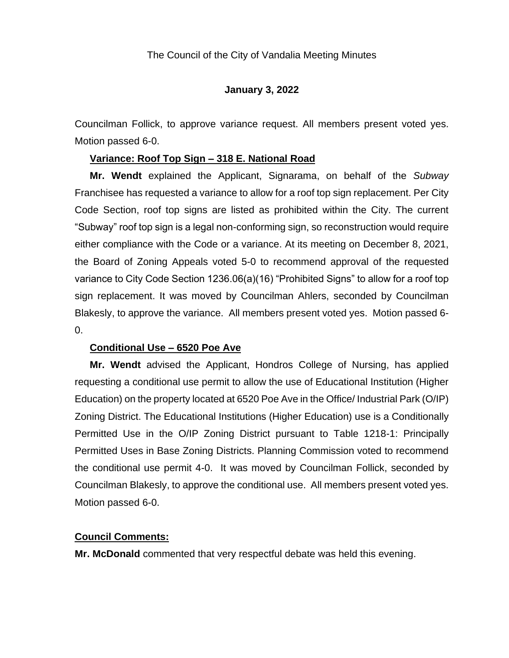## **January 3, 2022**

Councilman Follick, to approve variance request. All members present voted yes. Motion passed 6-0.

### **Variance: Roof Top Sign – 318 E. National Road**

**Mr. Wendt** explained the Applicant, Signarama, on behalf of the *Subway* Franchisee has requested a variance to allow for a roof top sign replacement. Per City Code Section, roof top signs are listed as prohibited within the City. The current "Subway" roof top sign is a legal non-conforming sign, so reconstruction would require either compliance with the Code or a variance. At its meeting on December 8, 2021, the Board of Zoning Appeals voted 5-0 to recommend approval of the requested variance to City Code Section 1236.06(a)(16) "Prohibited Signs" to allow for a roof top sign replacement. It was moved by Councilman Ahlers, seconded by Councilman Blakesly, to approve the variance. All members present voted yes. Motion passed 6- 0.

## **Conditional Use – 6520 Poe Ave**

**Mr. Wendt** advised the Applicant, Hondros College of Nursing, has applied requesting a conditional use permit to allow the use of Educational Institution (Higher Education) on the property located at 6520 Poe Ave in the Office/ Industrial Park (O/IP) Zoning District. The Educational Institutions (Higher Education) use is a Conditionally Permitted Use in the O/IP Zoning District pursuant to Table 1218-1: Principally Permitted Uses in Base Zoning Districts. Planning Commission voted to recommend the conditional use permit 4-0. It was moved by Councilman Follick, seconded by Councilman Blakesly, to approve the conditional use. All members present voted yes. Motion passed 6-0.

### **Council Comments:**

**Mr. McDonald** commented that very respectful debate was held this evening.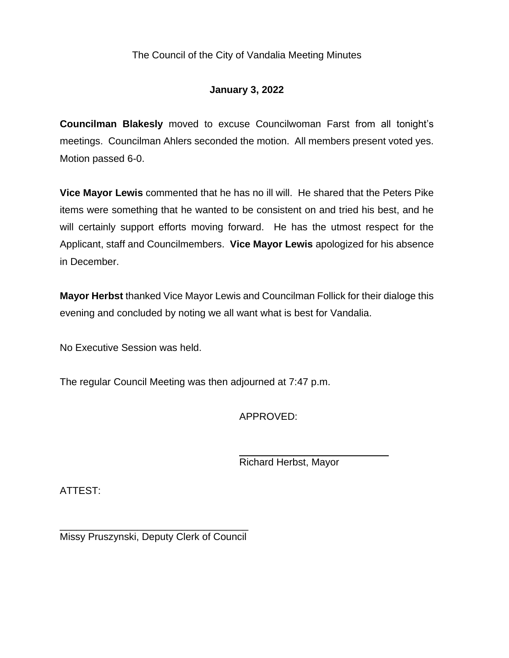## **January 3, 2022**

**Councilman Blakesly** moved to excuse Councilwoman Farst from all tonight's meetings. Councilman Ahlers seconded the motion. All members present voted yes. Motion passed 6-0.

**Vice Mayor Lewis** commented that he has no ill will. He shared that the Peters Pike items were something that he wanted to be consistent on and tried his best, and he will certainly support efforts moving forward. He has the utmost respect for the Applicant, staff and Councilmembers. **Vice Mayor Lewis** apologized for his absence in December.

**Mayor Herbst** thanked Vice Mayor Lewis and Councilman Follick for their dialoge this evening and concluded by noting we all want what is best for Vandalia.

No Executive Session was held.

The regular Council Meeting was then adjourned at 7:47 p.m.

APPROVED:

Richard Herbst, Mayor

ATTEST:

\_\_\_\_\_\_\_\_\_\_\_\_\_\_\_\_\_\_\_\_\_\_\_\_\_\_\_\_\_\_\_\_\_\_ Missy Pruszynski, Deputy Clerk of Council